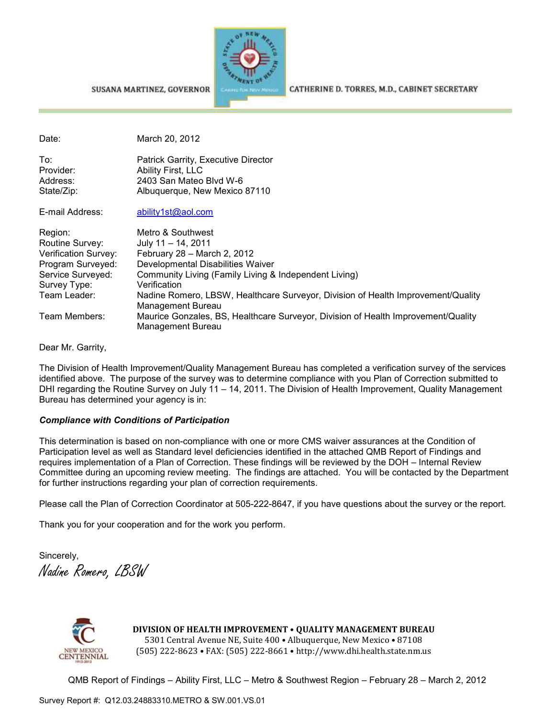SUSANA MARTINEZ, GOVERNOR



CATHERINE D. TORRES, M.D., CABINET SECRETARY

Date: March 20, 2012

| To∶        | Patrick Garrity, Executive Director |
|------------|-------------------------------------|
| Provider:  | Ability First, LLC                  |
| Address:   | 2403 San Mateo Blvd W-6             |
| State/Zip: | Albuquerque, New Mexico 87110       |
|            |                                     |

E-mail Address: ability1st@aol.com

| Region:<br>Routine Survey: | Metro & Southwest<br>July $11 - 14$ , 2011                                                             |
|----------------------------|--------------------------------------------------------------------------------------------------------|
| Verification Survey:       | February 28 - March 2, 2012                                                                            |
| Program Surveyed:          | Developmental Disabilities Waiver                                                                      |
| Service Surveyed:          | Community Living (Family Living & Independent Living)                                                  |
| Survey Type:               | Verification                                                                                           |
| Team Leader:               | Nadine Romero, LBSW, Healthcare Surveyor, Division of Health Improvement/Quality<br>Management Bureau  |
| Team Members:              | Maurice Gonzales, BS, Healthcare Surveyor, Division of Health Improvement/Quality<br>Management Bureau |

Dear Mr. Garrity,

The Division of Health Improvement/Quality Management Bureau has completed a verification survey of the services identified above. The purpose of the survey was to determine compliance with you Plan of Correction submitted to DHI regarding the Routine Survey on July 11 – 14, 2011. The Division of Health Improvement, Quality Management Bureau has determined your agency is in:

#### *Compliance with Conditions of Participation*

This determination is based on non-compliance with one or more CMS waiver assurances at the Condition of Participation level as well as Standard level deficiencies identified in the attached QMB Report of Findings and requires implementation of a Plan of Correction. These findings will be reviewed by the DOH – Internal Review Committee during an upcoming review meeting. The findings are attached. You will be contacted by the Department for further instructions regarding your plan of correction requirements.

Please call the Plan of Correction Coordinator at 505-222-8647, if you have questions about the survey or the report.

Thank you for your cooperation and for the work you perform.

Sincerely, Nadine Romero, LBSW



**DIVISION OF HEALTH IMPROVEMENT** • **QUALITY MANAGEMENT BUREAU** 5301 Central Avenue NE, Suite 400 • Albuquerque, New Mexico • 87108 (505) 222-8623 • FAX: (505) 222-8661 • http://www.dhi.health.state.nm.us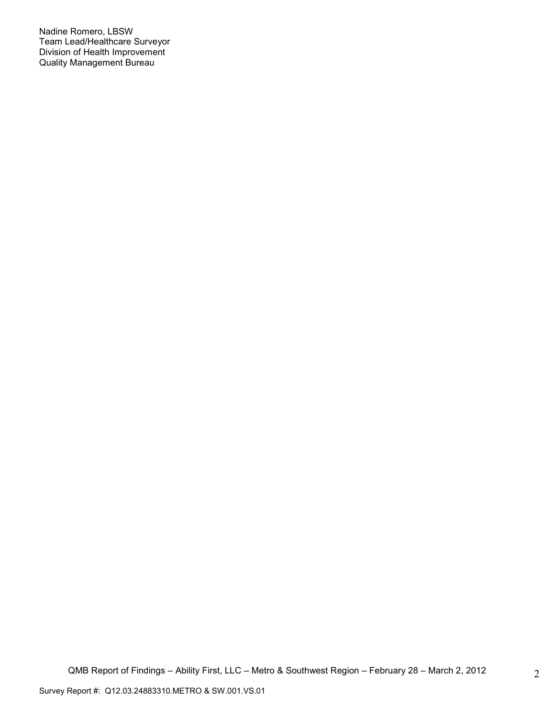Nadine Romero, LBSW Team Lead/Healthcare Surveyor Division of Health Improvement Quality Management Bureau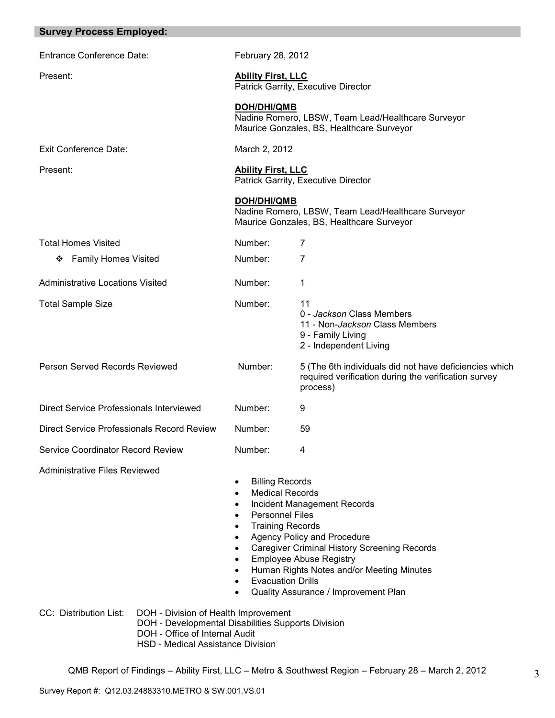| <b>Survey Process Employed:</b>                                                                                                                                                                    |                                                                                                                                                                                                                                                                                  |                                                                                                                                                                                                                                          |
|----------------------------------------------------------------------------------------------------------------------------------------------------------------------------------------------------|----------------------------------------------------------------------------------------------------------------------------------------------------------------------------------------------------------------------------------------------------------------------------------|------------------------------------------------------------------------------------------------------------------------------------------------------------------------------------------------------------------------------------------|
| <b>Entrance Conference Date:</b>                                                                                                                                                                   | February 28, 2012                                                                                                                                                                                                                                                                |                                                                                                                                                                                                                                          |
| Present:                                                                                                                                                                                           | <b>Ability First, LLC</b>                                                                                                                                                                                                                                                        | Patrick Garrity, Executive Director                                                                                                                                                                                                      |
|                                                                                                                                                                                                    | <b>DOH/DHI/QMB</b>                                                                                                                                                                                                                                                               | Nadine Romero, LBSW, Team Lead/Healthcare Surveyor<br>Maurice Gonzales, BS, Healthcare Surveyor                                                                                                                                          |
| <b>Exit Conference Date:</b>                                                                                                                                                                       | March 2, 2012                                                                                                                                                                                                                                                                    |                                                                                                                                                                                                                                          |
| Present:                                                                                                                                                                                           | <b>Ability First, LLC</b>                                                                                                                                                                                                                                                        | Patrick Garrity, Executive Director                                                                                                                                                                                                      |
|                                                                                                                                                                                                    | <b>DOH/DHI/QMB</b>                                                                                                                                                                                                                                                               | Nadine Romero, LBSW, Team Lead/Healthcare Surveyor<br>Maurice Gonzales, BS, Healthcare Surveyor                                                                                                                                          |
| <b>Total Homes Visited</b>                                                                                                                                                                         | Number:                                                                                                                                                                                                                                                                          | 7                                                                                                                                                                                                                                        |
| <b>Family Homes Visited</b><br>❖                                                                                                                                                                   | Number:                                                                                                                                                                                                                                                                          | 7                                                                                                                                                                                                                                        |
| <b>Administrative Locations Visited</b>                                                                                                                                                            | Number:                                                                                                                                                                                                                                                                          | 1                                                                                                                                                                                                                                        |
| <b>Total Sample Size</b>                                                                                                                                                                           | Number:                                                                                                                                                                                                                                                                          | 11<br>0 - Jackson Class Members<br>11 - Non-Jackson Class Members<br>9 - Family Living<br>2 - Independent Living                                                                                                                         |
| Person Served Records Reviewed                                                                                                                                                                     | Number:                                                                                                                                                                                                                                                                          | 5 (The 6th individuals did not have deficiencies which<br>required verification during the verification survey<br>process)                                                                                                               |
| Direct Service Professionals Interviewed                                                                                                                                                           | Number:                                                                                                                                                                                                                                                                          | 9                                                                                                                                                                                                                                        |
| Direct Service Professionals Record Review                                                                                                                                                         | Number:                                                                                                                                                                                                                                                                          | 59                                                                                                                                                                                                                                       |
| Service Coordinator Record Review                                                                                                                                                                  | Number:                                                                                                                                                                                                                                                                          | 4                                                                                                                                                                                                                                        |
| Administrative Files Reviewed                                                                                                                                                                      | <b>Billing Records</b><br>$\bullet$<br><b>Medical Records</b><br>$\bullet$<br>$\bullet$<br><b>Personnel Files</b><br>$\bullet$<br><b>Training Records</b><br>$\bullet$<br>$\bullet$<br>$\bullet$<br>$\bullet$<br>$\bullet$<br><b>Evacuation Drills</b><br>$\bullet$<br>$\bullet$ | Incident Management Records<br>Agency Policy and Procedure<br><b>Caregiver Criminal History Screening Records</b><br><b>Employee Abuse Registry</b><br>Human Rights Notes and/or Meeting Minutes<br>Quality Assurance / Improvement Plan |
| CC: Distribution List:<br>DOH - Division of Health Improvement<br>DOH - Developmental Disabilities Supports Division<br>DOH - Office of Internal Audit<br><b>HSD - Medical Assistance Division</b> |                                                                                                                                                                                                                                                                                  |                                                                                                                                                                                                                                          |
|                                                                                                                                                                                                    |                                                                                                                                                                                                                                                                                  | QMB Report of Findings - Ability First, LLC - Metro & Southwest Region - February 28 - March 2, 2012                                                                                                                                     |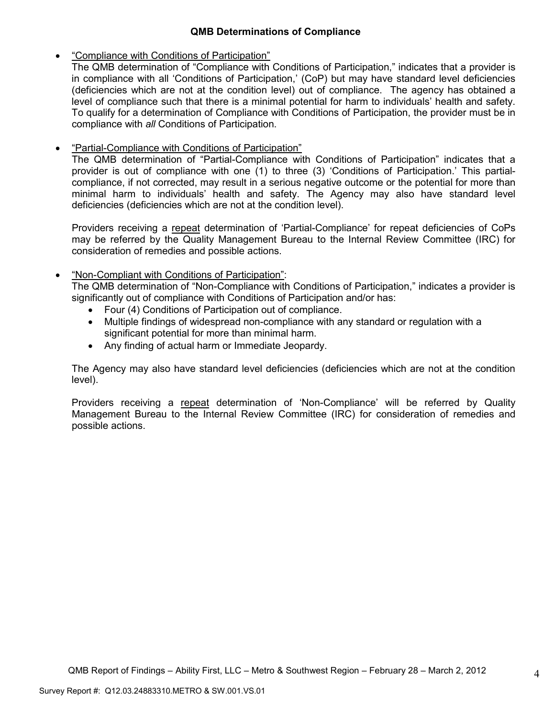## **QMB Determinations of Compliance**

• "Compliance with Conditions of Participation"

The QMB determination of "Compliance with Conditions of Participation," indicates that a provider is in compliance with all 'Conditions of Participation,' (CoP) but may have standard level deficiencies (deficiencies which are not at the condition level) out of compliance. The agency has obtained a level of compliance such that there is a minimal potential for harm to individuals' health and safety. To qualify for a determination of Compliance with Conditions of Participation, the provider must be in compliance with *all* Conditions of Participation.

• "Partial-Compliance with Conditions of Participation"

The QMB determination of "Partial-Compliance with Conditions of Participation" indicates that a provider is out of compliance with one (1) to three (3) 'Conditions of Participation.' This partialcompliance, if not corrected, may result in a serious negative outcome or the potential for more than minimal harm to individuals' health and safety. The Agency may also have standard level deficiencies (deficiencies which are not at the condition level).

Providers receiving a repeat determination of 'Partial-Compliance' for repeat deficiencies of CoPs may be referred by the Quality Management Bureau to the Internal Review Committee (IRC) for consideration of remedies and possible actions.

• "Non-Compliant with Conditions of Participation":

The QMB determination of "Non-Compliance with Conditions of Participation," indicates a provider is significantly out of compliance with Conditions of Participation and/or has:

- Four (4) Conditions of Participation out of compliance.
- Multiple findings of widespread non-compliance with any standard or regulation with a significant potential for more than minimal harm.
- Any finding of actual harm or Immediate Jeopardy.

The Agency may also have standard level deficiencies (deficiencies which are not at the condition level).

Providers receiving a repeat determination of 'Non-Compliance' will be referred by Quality Management Bureau to the Internal Review Committee (IRC) for consideration of remedies and possible actions.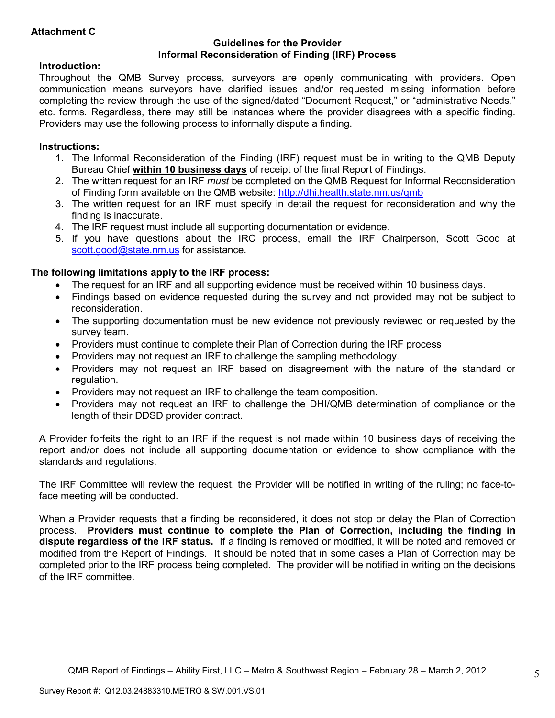# **Attachment C**

#### **Guidelines for the Provider Informal Reconsideration of Finding (IRF) Process**

### **Introduction:**

Throughout the QMB Survey process, surveyors are openly communicating with providers. Open communication means surveyors have clarified issues and/or requested missing information before completing the review through the use of the signed/dated "Document Request," or "administrative Needs," etc. forms. Regardless, there may still be instances where the provider disagrees with a specific finding. Providers may use the following process to informally dispute a finding.

### **Instructions:**

- 1. The Informal Reconsideration of the Finding (IRF) request must be in writing to the QMB Deputy Bureau Chief **within 10 business days** of receipt of the final Report of Findings.
- 2. The written request for an IRF *must* be completed on the QMB Request for Informal Reconsideration of Finding form available on the QMB website: http://dhi.health.state.nm.us/qmb
- 3. The written request for an IRF must specify in detail the request for reconsideration and why the finding is inaccurate.
- 4. The IRF request must include all supporting documentation or evidence.
- 5. If you have questions about the IRC process, email the IRF Chairperson, Scott Good at scott.good@state.nm.us for assistance.

## **The following limitations apply to the IRF process:**

- The request for an IRF and all supporting evidence must be received within 10 business days.
- Findings based on evidence requested during the survey and not provided may not be subject to reconsideration.
- The supporting documentation must be new evidence not previously reviewed or requested by the survey team.
- Providers must continue to complete their Plan of Correction during the IRF process
- Providers may not request an IRF to challenge the sampling methodology.
- Providers may not request an IRF based on disagreement with the nature of the standard or regulation.
- Providers may not request an IRF to challenge the team composition.
- Providers may not request an IRF to challenge the DHI/QMB determination of compliance or the length of their DDSD provider contract.

A Provider forfeits the right to an IRF if the request is not made within 10 business days of receiving the report and/or does not include all supporting documentation or evidence to show compliance with the standards and regulations.

The IRF Committee will review the request, the Provider will be notified in writing of the ruling; no face-toface meeting will be conducted.

When a Provider requests that a finding be reconsidered, it does not stop or delay the Plan of Correction process. **Providers must continue to complete the Plan of Correction, including the finding in dispute regardless of the IRF status.** If a finding is removed or modified, it will be noted and removed or modified from the Report of Findings. It should be noted that in some cases a Plan of Correction may be completed prior to the IRF process being completed. The provider will be notified in writing on the decisions of the IRF committee.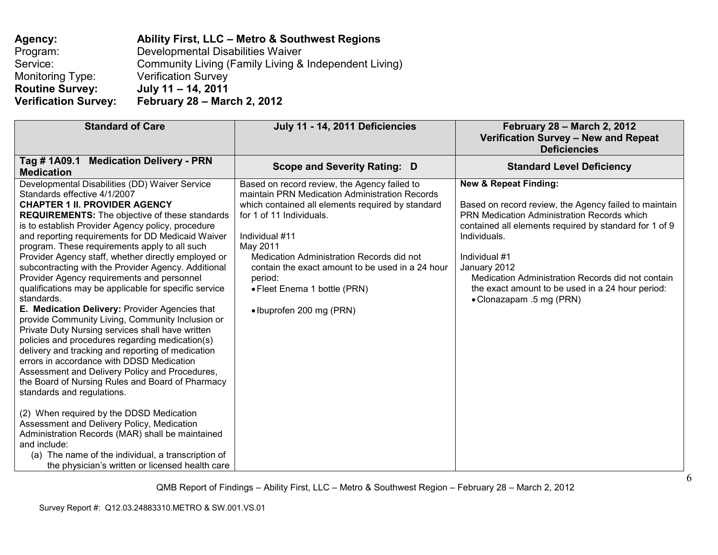| Agency:                     | Ability First, LLC - Metro & Southwest Regions        |
|-----------------------------|-------------------------------------------------------|
| Program:                    | Developmental Disabilities Waiver                     |
| Service:                    | Community Living (Family Living & Independent Living) |
| Monitoring Type:            | <b>Verification Survey</b>                            |
| <b>Routine Survey:</b>      | July 11 - 14, 2011                                    |
| <b>Verification Survey:</b> | <b>February 28 - March 2, 2012</b>                    |

| <b>Standard of Care</b>                                                                                                                                                                                                                                                                                                                                                                                                                                                                                                                                                                                                                                                                                                                                                                                                                                                                                                                                                                                                                                                                                                                                                                                                                                                                                 | July 11 - 14, 2011 Deficiencies                                                                                                                                                                                                                                                                                                                                                       | February 28 - March 2, 2012<br>Verification Survey - New and Repeat<br><b>Deficiencies</b>                                                                                                                                                                                                                                                                                                      |
|---------------------------------------------------------------------------------------------------------------------------------------------------------------------------------------------------------------------------------------------------------------------------------------------------------------------------------------------------------------------------------------------------------------------------------------------------------------------------------------------------------------------------------------------------------------------------------------------------------------------------------------------------------------------------------------------------------------------------------------------------------------------------------------------------------------------------------------------------------------------------------------------------------------------------------------------------------------------------------------------------------------------------------------------------------------------------------------------------------------------------------------------------------------------------------------------------------------------------------------------------------------------------------------------------------|---------------------------------------------------------------------------------------------------------------------------------------------------------------------------------------------------------------------------------------------------------------------------------------------------------------------------------------------------------------------------------------|-------------------------------------------------------------------------------------------------------------------------------------------------------------------------------------------------------------------------------------------------------------------------------------------------------------------------------------------------------------------------------------------------|
| <b>Medication Delivery - PRN</b><br>Tag # 1A09.1<br><b>Medication</b>                                                                                                                                                                                                                                                                                                                                                                                                                                                                                                                                                                                                                                                                                                                                                                                                                                                                                                                                                                                                                                                                                                                                                                                                                                   | Scope and Severity Rating: D                                                                                                                                                                                                                                                                                                                                                          | <b>Standard Level Deficiency</b>                                                                                                                                                                                                                                                                                                                                                                |
| Developmental Disabilities (DD) Waiver Service<br>Standards effective 4/1/2007<br><b>CHAPTER 1 II. PROVIDER AGENCY</b><br><b>REQUIREMENTS:</b> The objective of these standards<br>is to establish Provider Agency policy, procedure<br>and reporting requirements for DD Medicaid Waiver<br>program. These requirements apply to all such<br>Provider Agency staff, whether directly employed or<br>subcontracting with the Provider Agency. Additional<br>Provider Agency requirements and personnel<br>qualifications may be applicable for specific service<br>standards.<br>E. Medication Delivery: Provider Agencies that<br>provide Community Living, Community Inclusion or<br>Private Duty Nursing services shall have written<br>policies and procedures regarding medication(s)<br>delivery and tracking and reporting of medication<br>errors in accordance with DDSD Medication<br>Assessment and Delivery Policy and Procedures,<br>the Board of Nursing Rules and Board of Pharmacy<br>standards and regulations.<br>(2) When required by the DDSD Medication<br>Assessment and Delivery Policy, Medication<br>Administration Records (MAR) shall be maintained<br>and include:<br>(a) The name of the individual, a transcription of<br>the physician's written or licensed health care | Based on record review, the Agency failed to<br>maintain PRN Medication Administration Records<br>which contained all elements required by standard<br>for 1 of 11 Individuals.<br>Individual #11<br>May 2011<br>Medication Administration Records did not<br>contain the exact amount to be used in a 24 hour<br>period:<br>• Fleet Enema 1 bottle (PRN)<br>• Ibuprofen 200 mg (PRN) | <b>New &amp; Repeat Finding:</b><br>Based on record review, the Agency failed to maintain<br><b>PRN Medication Administration Records which</b><br>contained all elements required by standard for 1 of 9<br>Individuals.<br>Individual #1<br>January 2012<br>Medication Administration Records did not contain<br>the exact amount to be used in a 24 hour period:<br>• Clonazapam .5 mg (PRN) |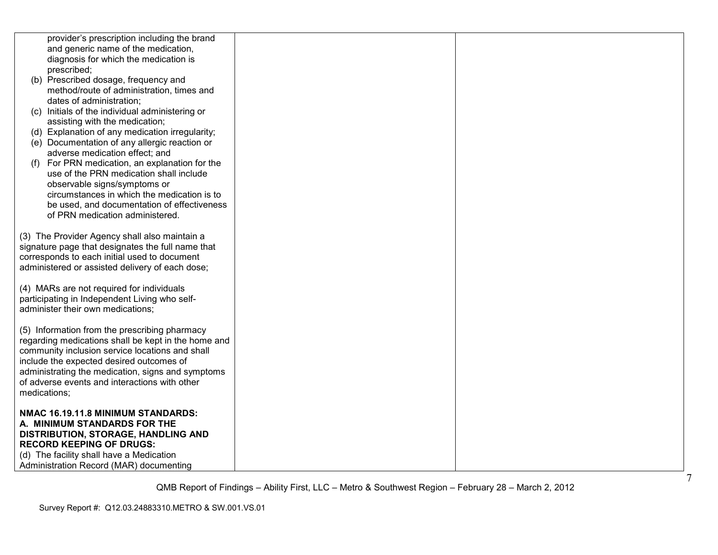| provider's prescription including the brand         |  |  |
|-----------------------------------------------------|--|--|
| and generic name of the medication,                 |  |  |
| diagnosis for which the medication is               |  |  |
| prescribed;                                         |  |  |
| (b) Prescribed dosage, frequency and                |  |  |
| method/route of administration, times and           |  |  |
| dates of administration;                            |  |  |
| (c) Initials of the individual administering or     |  |  |
| assisting with the medication;                      |  |  |
| (d) Explanation of any medication irregularity;     |  |  |
| (e) Documentation of any allergic reaction or       |  |  |
| adverse medication effect; and                      |  |  |
| For PRN medication, an explanation for the<br>(f)   |  |  |
| use of the PRN medication shall include             |  |  |
| observable signs/symptoms or                        |  |  |
| circumstances in which the medication is to         |  |  |
| be used, and documentation of effectiveness         |  |  |
| of PRN medication administered.                     |  |  |
|                                                     |  |  |
| (3) The Provider Agency shall also maintain a       |  |  |
| signature page that designates the full name that   |  |  |
| corresponds to each initial used to document        |  |  |
| administered or assisted delivery of each dose;     |  |  |
|                                                     |  |  |
| (4) MARs are not required for individuals           |  |  |
| participating in Independent Living who self-       |  |  |
| administer their own medications;                   |  |  |
| (5) Information from the prescribing pharmacy       |  |  |
| regarding medications shall be kept in the home and |  |  |
| community inclusion service locations and shall     |  |  |
| include the expected desired outcomes of            |  |  |
| administrating the medication, signs and symptoms   |  |  |
| of adverse events and interactions with other       |  |  |
| medications;                                        |  |  |
|                                                     |  |  |
| NMAC 16.19.11.8 MINIMUM STANDARDS:                  |  |  |
| A. MINIMUM STANDARDS FOR THE                        |  |  |
| DISTRIBUTION, STORAGE, HANDLING AND                 |  |  |
| <b>RECORD KEEPING OF DRUGS:</b>                     |  |  |
| (d) The facility shall have a Medication            |  |  |
| Administration Record (MAR) documenting             |  |  |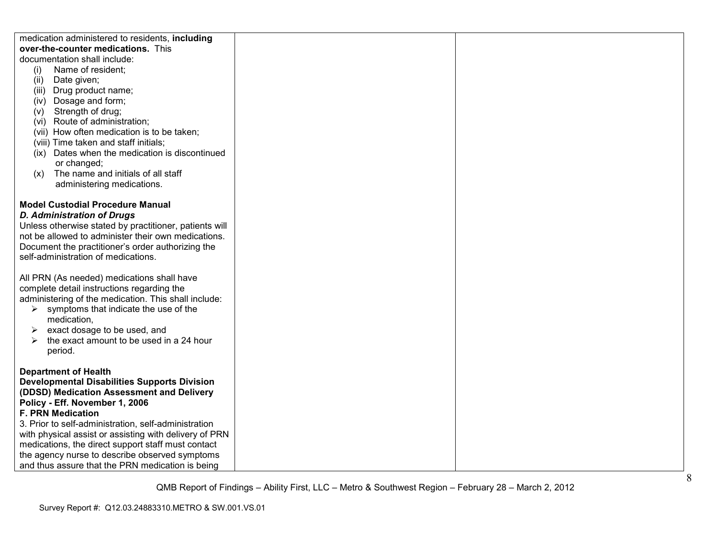| medication administered to residents, including        |  |
|--------------------------------------------------------|--|
| over-the-counter medications. This                     |  |
| documentation shall include:                           |  |
| Name of resident;<br>(i)                               |  |
| Date given;<br>(ii)                                    |  |
| (iii) Drug product name;                               |  |
| (iv) Dosage and form;                                  |  |
| (v) Strength of drug;                                  |  |
| (vi) Route of administration;                          |  |
| (vii) How often medication is to be taken;             |  |
| (viii) Time taken and staff initials;                  |  |
| (ix) Dates when the medication is discontinued         |  |
| or changed;                                            |  |
| The name and initials of all staff<br>(x)              |  |
| administering medications.                             |  |
|                                                        |  |
| <b>Model Custodial Procedure Manual</b>                |  |
| <b>D. Administration of Drugs</b>                      |  |
| Unless otherwise stated by practitioner, patients will |  |
| not be allowed to administer their own medications.    |  |
| Document the practitioner's order authorizing the      |  |
| self-administration of medications.                    |  |
|                                                        |  |
| All PRN (As needed) medications shall have             |  |
| complete detail instructions regarding the             |  |
| administering of the medication. This shall include:   |  |
| $\triangleright$ symptoms that indicate the use of the |  |
| medication,                                            |  |
| exact dosage to be used, and<br>➤                      |  |
| the exact amount to be used in a 24 hour<br>➤          |  |
| period.                                                |  |
|                                                        |  |
| <b>Department of Health</b>                            |  |
| <b>Developmental Disabilities Supports Division</b>    |  |
| (DDSD) Medication Assessment and Delivery              |  |
| Policy - Eff. November 1, 2006                         |  |
| F. PRN Medication                                      |  |
| 3. Prior to self-administration, self-administration   |  |
| with physical assist or assisting with delivery of PRN |  |
| medications, the direct support staff must contact     |  |
| the agency nurse to describe observed symptoms         |  |
| and thus assure that the PRN medication is being       |  |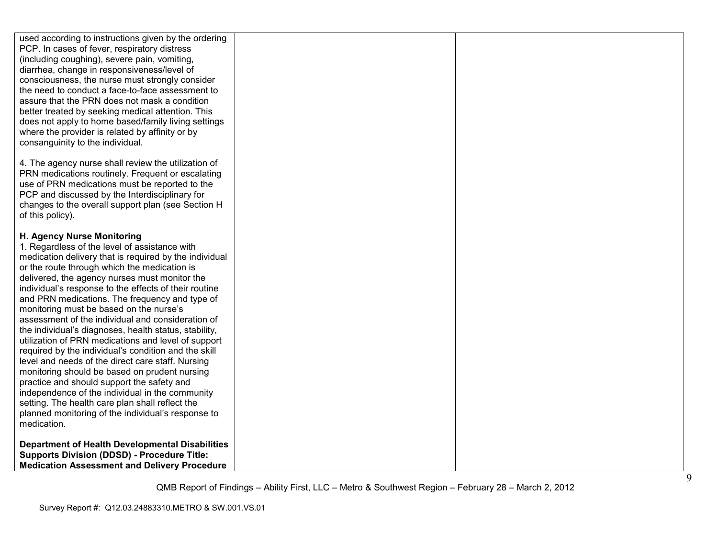| used according to instructions given by the ordering<br>PCP. In cases of fever, respiratory distress<br>(including coughing), severe pain, vomiting,<br>diarrhea, change in responsiveness/level of<br>consciousness, the nurse must strongly consider<br>the need to conduct a face-to-face assessment to<br>assure that the PRN does not mask a condition<br>better treated by seeking medical attention. This<br>does not apply to home based/family living settings<br>where the provider is related by affinity or by<br>consanguinity to the individual.                                                                                                                                                                                                                                                                                                                                                                                           |  |
|----------------------------------------------------------------------------------------------------------------------------------------------------------------------------------------------------------------------------------------------------------------------------------------------------------------------------------------------------------------------------------------------------------------------------------------------------------------------------------------------------------------------------------------------------------------------------------------------------------------------------------------------------------------------------------------------------------------------------------------------------------------------------------------------------------------------------------------------------------------------------------------------------------------------------------------------------------|--|
| 4. The agency nurse shall review the utilization of<br>PRN medications routinely. Frequent or escalating<br>use of PRN medications must be reported to the<br>PCP and discussed by the Interdisciplinary for<br>changes to the overall support plan (see Section H<br>of this policy).                                                                                                                                                                                                                                                                                                                                                                                                                                                                                                                                                                                                                                                                   |  |
| H. Agency Nurse Monitoring<br>1. Regardless of the level of assistance with<br>medication delivery that is required by the individual<br>or the route through which the medication is<br>delivered, the agency nurses must monitor the<br>individual's response to the effects of their routine<br>and PRN medications. The frequency and type of<br>monitoring must be based on the nurse's<br>assessment of the individual and consideration of<br>the individual's diagnoses, health status, stability,<br>utilization of PRN medications and level of support<br>required by the individual's condition and the skill<br>level and needs of the direct care staff. Nursing<br>monitoring should be based on prudent nursing<br>practice and should support the safety and<br>independence of the individual in the community<br>setting. The health care plan shall reflect the<br>planned monitoring of the individual's response to<br>medication. |  |
| <b>Department of Health Developmental Disabilities</b><br><b>Supports Division (DDSD) - Procedure Title:</b><br><b>Medication Assessment and Delivery Procedure</b>                                                                                                                                                                                                                                                                                                                                                                                                                                                                                                                                                                                                                                                                                                                                                                                      |  |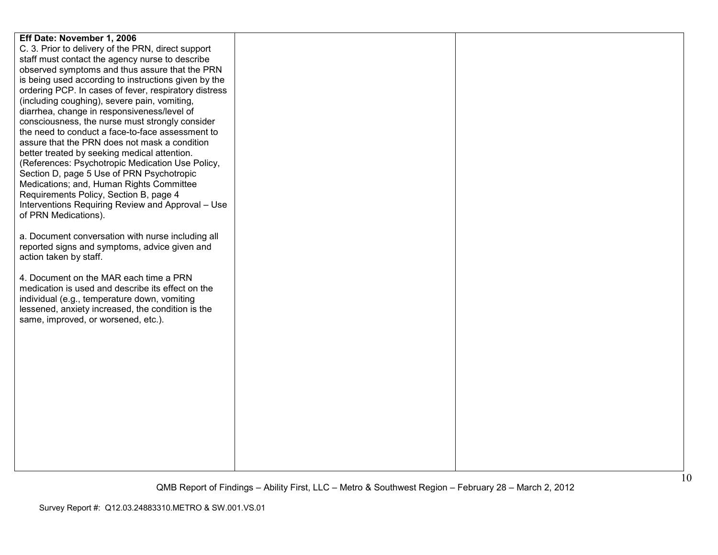| Eff Date: November 1, 2006                            |  |
|-------------------------------------------------------|--|
| C. 3. Prior to delivery of the PRN, direct support    |  |
| staff must contact the agency nurse to describe       |  |
| observed symptoms and thus assure that the PRN        |  |
| is being used according to instructions given by the  |  |
| ordering PCP. In cases of fever, respiratory distress |  |
| (including coughing), severe pain, vomiting,          |  |
| diarrhea, change in responsiveness/level of           |  |
| consciousness, the nurse must strongly consider       |  |
| the need to conduct a face-to-face assessment to      |  |
| assure that the PRN does not mask a condition         |  |
| better treated by seeking medical attention.          |  |
| (References: Psychotropic Medication Use Policy,      |  |
| Section D, page 5 Use of PRN Psychotropic             |  |
| Medications; and, Human Rights Committee              |  |
| Requirements Policy, Section B, page 4                |  |
| Interventions Requiring Review and Approval - Use     |  |
| of PRN Medications).                                  |  |
|                                                       |  |
| a. Document conversation with nurse including all     |  |
| reported signs and symptoms, advice given and         |  |
| action taken by staff.                                |  |
|                                                       |  |
| 4. Document on the MAR each time a PRN                |  |
| medication is used and describe its effect on the     |  |
| individual (e.g., temperature down, vomiting          |  |
| lessened, anxiety increased, the condition is the     |  |
| same, improved, or worsened, etc.).                   |  |
|                                                       |  |
|                                                       |  |
|                                                       |  |
|                                                       |  |
|                                                       |  |
|                                                       |  |
|                                                       |  |
|                                                       |  |
|                                                       |  |
|                                                       |  |
|                                                       |  |
|                                                       |  |
|                                                       |  |
|                                                       |  |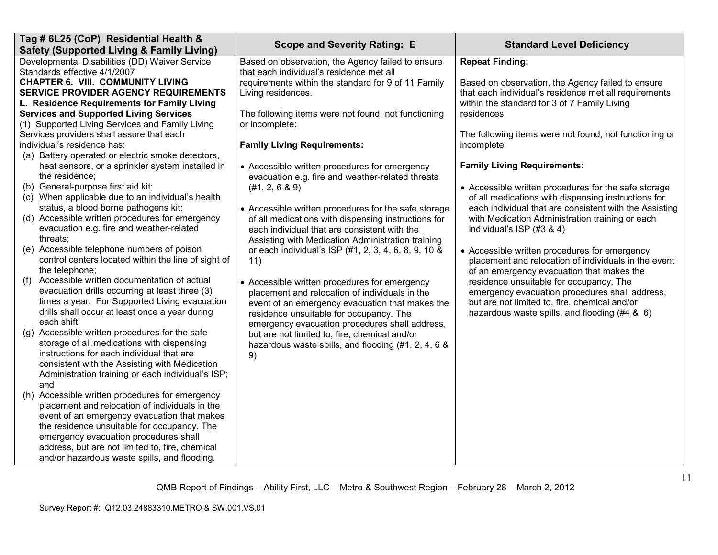| Tag # 6L25 (CoP) Residential Health &<br><b>Safety (Supported Living &amp; Family Living)</b>                                                                                                                                                                                                                                               | <b>Scope and Severity Rating: E</b>                                                                                                                                                                                                             | <b>Standard Level Deficiency</b>                                                                                                                                                              |
|---------------------------------------------------------------------------------------------------------------------------------------------------------------------------------------------------------------------------------------------------------------------------------------------------------------------------------------------|-------------------------------------------------------------------------------------------------------------------------------------------------------------------------------------------------------------------------------------------------|-----------------------------------------------------------------------------------------------------------------------------------------------------------------------------------------------|
| Developmental Disabilities (DD) Waiver Service<br>Standards effective 4/1/2007                                                                                                                                                                                                                                                              | Based on observation, the Agency failed to ensure<br>that each individual's residence met all                                                                                                                                                   | <b>Repeat Finding:</b>                                                                                                                                                                        |
| <b>CHAPTER 6. VIII. COMMUNITY LIVING</b><br><b>SERVICE PROVIDER AGENCY REQUIREMENTS</b><br>L. Residence Requirements for Family Living                                                                                                                                                                                                      | requirements within the standard for 9 of 11 Family<br>Living residences.                                                                                                                                                                       | Based on observation, the Agency failed to ensure<br>that each individual's residence met all requirements<br>within the standard for 3 of 7 Family Living                                    |
| <b>Services and Supported Living Services</b><br>(1) Supported Living Services and Family Living<br>Services providers shall assure that each                                                                                                                                                                                               | The following items were not found, not functioning<br>or incomplete:                                                                                                                                                                           | residences.<br>The following items were not found, not functioning or                                                                                                                         |
| individual's residence has:<br>(a) Battery operated or electric smoke detectors,                                                                                                                                                                                                                                                            | <b>Family Living Requirements:</b>                                                                                                                                                                                                              | incomplete:                                                                                                                                                                                   |
| heat sensors, or a sprinkler system installed in<br>the residence;<br>(b) General-purpose first aid kit;<br>(c) When applicable due to an individual's health                                                                                                                                                                               | • Accessible written procedures for emergency<br>evacuation e.g. fire and weather-related threats<br>(#1, 2, 6 & 9)                                                                                                                             | <b>Family Living Requirements:</b><br>• Accessible written procedures for the safe storage                                                                                                    |
| status, a blood borne pathogens kit;<br>(d) Accessible written procedures for emergency<br>evacuation e.g. fire and weather-related                                                                                                                                                                                                         | • Accessible written procedures for the safe storage<br>of all medications with dispensing instructions for<br>each individual that are consistent with the                                                                                     | of all medications with dispensing instructions for<br>each individual that are consistent with the Assisting<br>with Medication Administration training or each<br>individual's ISP (#3 & 4) |
| threats;<br>(e) Accessible telephone numbers of poison<br>control centers located within the line of sight of<br>the telephone;                                                                                                                                                                                                             | Assisting with Medication Administration training<br>or each individual's ISP (#1, 2, 3, 4, 6, 8, 9, 10 &<br>11)                                                                                                                                | • Accessible written procedures for emergency<br>placement and relocation of individuals in the event<br>of an emergency evacuation that makes the                                            |
| Accessible written documentation of actual<br>(f)<br>evacuation drills occurring at least three (3)<br>times a year. For Supported Living evacuation<br>drills shall occur at least once a year during<br>each shift;                                                                                                                       | • Accessible written procedures for emergency<br>placement and relocation of individuals in the<br>event of an emergency evacuation that makes the<br>residence unsuitable for occupancy. The<br>emergency evacuation procedures shall address, | residence unsuitable for occupancy. The<br>emergency evacuation procedures shall address,<br>but are not limited to, fire, chemical and/or<br>hazardous waste spills, and flooding (#4 & 6)   |
| (g) Accessible written procedures for the safe<br>storage of all medications with dispensing<br>instructions for each individual that are<br>consistent with the Assisting with Medication<br>Administration training or each individual's ISP;<br>and                                                                                      | but are not limited to, fire, chemical and/or<br>hazardous waste spills, and flooding (#1, 2, 4, 6 &<br>9)                                                                                                                                      |                                                                                                                                                                                               |
| (h) Accessible written procedures for emergency<br>placement and relocation of individuals in the<br>event of an emergency evacuation that makes<br>the residence unsuitable for occupancy. The<br>emergency evacuation procedures shall<br>address, but are not limited to, fire, chemical<br>and/or hazardous waste spills, and flooding. |                                                                                                                                                                                                                                                 |                                                                                                                                                                                               |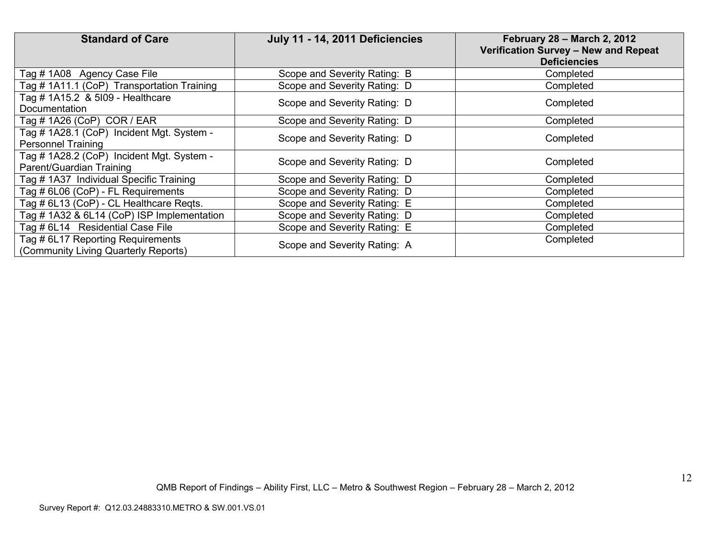| <b>Standard of Care</b>                                                   | July 11 - 14, 2011 Deficiencies | <b>February 28 - March 2, 2012</b><br>Verification Survey - New and Repeat<br><b>Deficiencies</b> |
|---------------------------------------------------------------------------|---------------------------------|---------------------------------------------------------------------------------------------------|
| Tag # 1A08 Agency Case File                                               | Scope and Severity Rating: B    | Completed                                                                                         |
| Tag # 1A11.1 (CoP) Transportation Training                                | Scope and Severity Rating: D    | Completed                                                                                         |
| Tag # 1A15.2 & 5109 - Healthcare<br>Documentation                         | Scope and Severity Rating: D    | Completed                                                                                         |
| Tag # 1A26 (CoP) COR / EAR                                                | Scope and Severity Rating: D    | Completed                                                                                         |
| Tag # 1A28.1 (CoP) Incident Mgt. System -<br><b>Personnel Training</b>    | Scope and Severity Rating: D    | Completed                                                                                         |
| Tag # 1A28.2 (CoP) Incident Mgt. System -<br>Parent/Guardian Training     | Scope and Severity Rating: D    | Completed                                                                                         |
| Tag # 1A37 Individual Specific Training                                   | Scope and Severity Rating: D    | Completed                                                                                         |
| Tag # 6L06 (CoP) - FL Requirements                                        | Scope and Severity Rating: D    | Completed                                                                                         |
| Tag # 6L13 (CoP) - CL Healthcare Regts.                                   | Scope and Severity Rating: E    | Completed                                                                                         |
| Tag # 1A32 & 6L14 (CoP) ISP Implementation                                | Scope and Severity Rating: D    | Completed                                                                                         |
| Tag # 6L14 Residential Case File                                          | Scope and Severity Rating: E    | Completed                                                                                         |
| Tag # 6L17 Reporting Requirements<br>(Community Living Quarterly Reports) | Scope and Severity Rating: A    | Completed                                                                                         |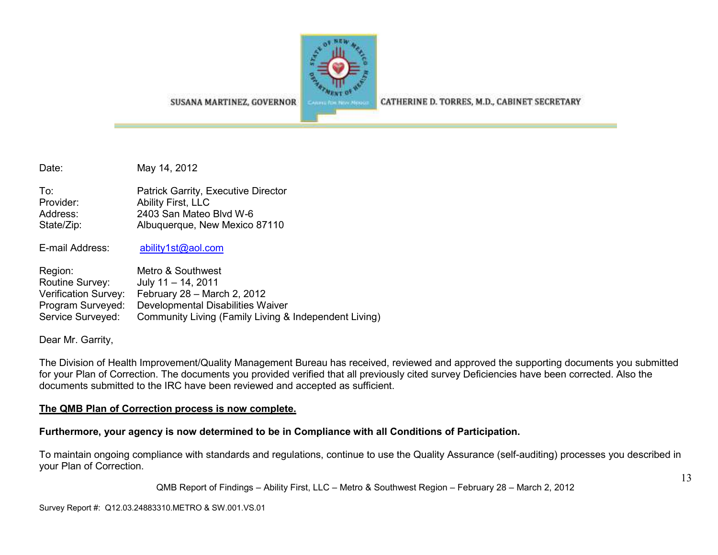

CATHERINE D. TORRES, M.D., CABINET SECRETARY

SUSANA MARTINEZ, GOVERNOR

Date: May 14, 2012

| To∶        | Patrick Garrity, Executive Director |
|------------|-------------------------------------|
| Provider:  | Ability First, LLC                  |
| Address:   | 2403 San Mateo Blvd W-6             |
| State/Zip: | Albuquerque, New Mexico 87110       |

E-mail Address: ability1st@aol.com

| Region:              | Metro & Southwest                                     |
|----------------------|-------------------------------------------------------|
| Routine Survey:      | July $11 - 14$ , 2011                                 |
| Verification Survey: | February $28 -$ March 2, 2012                         |
| Program Surveyed:    | Developmental Disabilities Waiver                     |
| Service Surveyed:    | Community Living (Family Living & Independent Living) |

Dear Mr. Garrity,

The Division of Health Improvement/Quality Management Bureau has received, reviewed and approved the supporting documents you submitted for your Plan of Correction. The documents you provided verified that all previously cited survey Deficiencies have been corrected. Also the documents submitted to the IRC have been reviewed and accepted as sufficient.

#### **The QMB Plan of Correction process is now complete.**

**Furthermore, your agency is now determined to be in Compliance with all Conditions of Participation.** 

To maintain ongoing compliance with standards and regulations, continue to use the Quality Assurance (self-auditing) processes you described in your Plan of Correction.

QMB Report of Findings – Ability First, LLC – Metro & Southwest Region – February 28 – March 2, 2012

Survey Report #: Q12.03.24883310.METRO & SW.001.VS.01